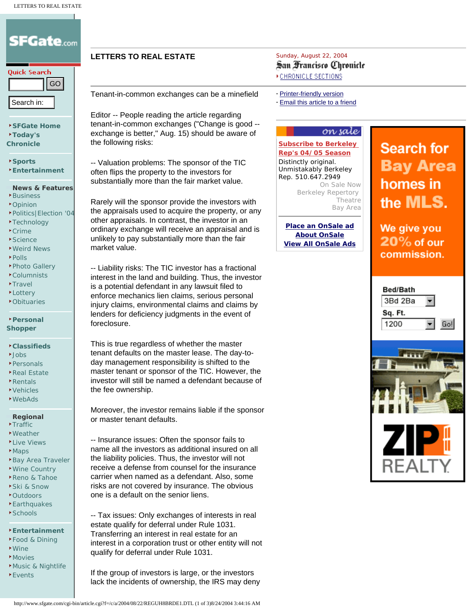# **SFGate**.com Quick Search **Example 1998**<br> **Example 1898**<br> **Example 1898**<br> **Example 1898**<br> **Example 1898**<br> **Example 1898**<br> **Example 1899**<br> **Example 1898**<br> **Example 1898**<br> **Example 1898**<br> **Example 1898**<br> **Example 1898**<br> **Example 1898**<br> **Example 1899 [SFGate Home](http://sfgate.com/) [Today's](http://www.sfgate.com/chronicle/)  [Chronicle](http://www.sfgate.com/chronicle/) [Sports](http://www.sfgate.com/sports/) [Entertainment](http://www.sfgate.com/eguide/) News & Features** [Business](http://www.sfgate.com/business/) [Opinion](http://www.sfgate.com/opinion/) [Politics|Election '04](http://www.sfgate.com/politics/) **F**[Technology](http://www.sfgate.com/technology/) [Crime](http://www.sfgate.com/news/crime/) **[Science](http://www.sfgate.com/science/)** [Weird News](http://www.sfgate.com/news/bondage/)

- [Polls](http://www.sfgate.com/polls/)
- [Photo Gallery](http://www.sfgate.com/gallery/)
- [Columnists](http://www.sfgate.com/columnists/)
- **\*[Travel](http://www.sfgate.com/travel/)**
- **[Lottery](http://www.sfgate.com/news/lottery/)**
- [Obituaries](http://www.sfgate.com/chronicle/obituaries/)

#### **[Personal](http://personalshopper.sfgate.com/)  [Shopper](http://personalshopper.sfgate.com/)**

#### **[Classifieds](http://www.sfgate.com/classifieds/)**

- **L**[Jobs](http://www.sfgate.com/jobs/)
- [Personals](http://personals.sfgate.com/)
- [Real Estate](http://www.sfgate.com/homes/)
- [Rentals](http://www.sfgate.com/rentals/) [Vehicles](http://www.sfgate.com/vehicles/)
- [WebAds](http://www.sfgate.com/cgi-bin/jusma/webad/main/)

#### **Regional**

- **[Traffic](http://www.sfgate.com/traffic/)**
- [Weather](http://www.sfgate.com/weather/) **[Live Views](http://www.sfgate.com/liveviews/)**
- **[Maps](http://www.sfgate.com/maps/)**
- [Bay Area Traveler](http://www.sfgate.com/traveler/)
- [Wine Country](http://www.sfgate.com/wine/)
- [Reno & Tahoe](http://www.sfgate.com/traveler/guide/renotahoe/)
- [Ski & Snow](http://www.sfgate.com/sports/skiing/)
- **[Outdoors](http://www.sfgate.com/sports/outdoors/)**
- [Earthquakes](http://www.sfgate.com/earthquakes/)
- **[Schools](http://sfgate.greatschools.net/modperl/go/CA?ref=real_estate)**

#### **[Entertainment](http://www.sfgate.com/eguide/)**

- [Food & Dining](http://www.sfgate.com/eguide/food/)
- [Wine](http://www.sfgate.com/wine/)
- **\*[Movies](http://www.sfgate.com/eguide/movies/)**
- [Music & Nightlife](http://www.sfgate.com/eguide/music/)
- [Events](http://www.sfgate.com/eguide/events/)

Tenant-in-common exchanges can be a minefield

Editor -- People reading the article regarding tenant-in-common exchanges ("Change is good - exchange is better," Aug. 15) should be aware of the following risks:

-- Valuation problems: The sponsor of the TIC often flips the property to the investors for substantially more than the fair market value.

Rarely will the sponsor provide the investors with the appraisals used to acquire the property, or any other appraisals. In contrast, the investor in an ordinary exchange will receive an appraisal and is unlikely to pay substantially more than the fair market value.

-- Liability risks: The TIC investor has a fractional interest in the land and building. Thus, the investor is a potential defendant in any lawsuit filed to enforce mechanics lien claims, serious personal injury claims, environmental claims and claims by lenders for deficiency judgments in the event of foreclosure.

This is true regardless of whether the master tenant defaults on the master lease. The day-today management responsibility is shifted to the master tenant or sponsor of the TIC. However, the investor will still be named a defendant because of the fee ownership.

Moreover, the investor remains liable if the sponsor or master tenant defaults.

-- Insurance issues: Often the sponsor fails to name all the investors as additional insured on all the liability policies. Thus, the investor will not receive a defense from counsel for the insurance carrier when named as a defendant. Also, some risks are not covered by insurance. The obvious one is a default on the senior liens.

-- Tax issues: Only exchanges of interests in real estate qualify for deferral under Rule 1031. Transferring an interest in real estate for an interest in a corporation trust or other entity will not qualify for deferral under Rule 1031.

If the group of investors is large, or the investors lack the incidents of ownership, the IRS may deny

## **LETTERS TO REAL ESTATE**<br>
Sunday, August 22, 2004<br>
San *Trancisco* Chronicle **CHRONICLE SECTIONS**

- **·** [Printer-friendly version](http://www.sfgate.com/cgi-bin/article.cgi?file=/c/a/2004/08/22/REGUH8BRDE1.DTL&type=printable)
- **·** [Email this article to a friend](http://www.sfgate.com/cgi-bin/article.cgi?file=/c/a/2004/08/22/REGUH8BRDE1.DTL&type=friend&emailcolor=%23A0B2AD&origin=http://www.sfgate.com/cgi-bin/article.cgi%3Ff%3D%2Fc%2Fa%2F2004%2F08%2F22%2FREGUH8BRDE1.DTL)

#### on sale

**[Subscribe to Berkeley](http://www.sfgate.com/cgi-bin/adjacency/onsale/details?ad=6f926f50)  [Rep's 04/05 Season](http://www.sfgate.com/cgi-bin/adjacency/onsale/details?ad=6f926f50)** Distinctly original. Unmistakably Berkeley Rep. 510.647.2949 On Sale Now Berkeley Repertory Theatre Bay Area

**[Place an OnSale ad](http://www.sfgate.com/cgi-bin/onsale/step/category/) [About OnSale](http://www.sfgate.com/templates/types/onsale/about/about_onsale.html) [View All OnSale Ads](http://www.sfgate.com/cgi-bin/adjacency/onsale/list)**

# **Search for Bay Area** homes in the **MLS**.

We give you  $20%$  of our commission.





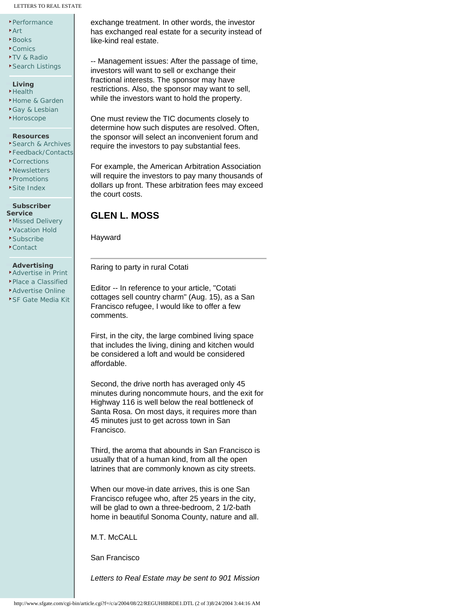#### LETTERS TO REAL ESTATE

- [Performance](http://www.sfgate.com/eguide/performance/)
- [Art](http://www.sfgate.com/eguide/art/)
- **[Books](http://www.sfgate.com/eguide/books/)**
- [Comics](http://www.sfgate.com/comics/)
- [TV & Radio](http://www.sfgate.com/tvradio/)
- [Search Listings](http://www.sfgate.com/eguide/search/)
- **Living**
- **[Health](http://www.sfgate.com/health/)**
- [Home & Garden](http://www.sfgate.com/homeandgarden/)
- [Gay & Lesbian](http://www.sfgate.com/eguide/gay/)
- [Horoscope](http://www.sfgate.com/eguide/horoscope/)

#### **Resources**

- [Search & Archives](http://www.sfgate.com/search/)
- [Feedback/Contacts](http://www.sfgate.com/feedback/)
- [Corrections](http://www.sfgate.com/pages/corrections/)
- [Newsletters](http://www.sfgate.com/newsletters/)
- [Promotions](http://www.sfgate.com/promotions/) [Site Index](http://www.sfgate.com/index/)

#### **Subscriber**

- **Service [Missed Delivery](https://www.subscriber-services.com/sfchron/)**
- [Vacation Hold](https://www.subscriber-services.com/sfchron/landing.asp?code=VAC)
- [Subscribe](https://www.subscriber-services.com/sfchron/landing.asp?code=HDDEFA)
- [Contact](https://www.subscriber-services.com/sfchron/landing.asp?code=CONTACT)

#### **Advertising**

- [Advertise in Print](http://www.sfgate.com/chronicle/advertise/)
- [Place a Classified](http://www.sfgate.com/classifieds/chronicle/)
- **[Advertise Online](http://www.sfgate.com/sales/mediakit/contact/)**
- [SF Gate Media Kit](http://www.sfgate.com/mediakit/)

exchange treatment. In other words, the investor has exchanged real estate for a security instead of like-kind real estate.

-- Management issues: After the passage of time, investors will want to sell or exchange their fractional interests. The sponsor may have restrictions. Also, the sponsor may want to sell, while the investors want to hold the property.

One must review the TIC documents closely to determine how such disputes are resolved. Often, the sponsor will select an inconvenient forum and require the investors to pay substantial fees.

For example, the American Arbitration Association will require the investors to pay many thousands of dollars up front. These arbitration fees may exceed the court costs.

### **GLEN L. MOSS**

Hayward

Raring to party in rural Cotati

Editor -- In reference to your article, "Cotati cottages sell country charm" (Aug. 15), as a San Francisco refugee, I would like to offer a few comments.

First, in the city, the large combined living space that includes the living, dining and kitchen would be considered a loft and would be considered affordable.

Second, the drive north has averaged only 45 minutes during noncommute hours, and the exit for Highway 116 is well below the real bottleneck of Santa Rosa. On most days, it requires more than 45 minutes just to get across town in San Francisco.

Third, the aroma that abounds in San Francisco is usually that of a human kind, from all the open latrines that are commonly known as city streets.

When our move-in date arrives, this is one San Francisco refugee who, after 25 years in the city, will be glad to own a three-bedroom, 2 1/2-bath home in beautiful Sonoma County, nature and all.

M.T. McCALL

San Francisco

*Letters to Real Estate may be sent to 901 Mission*